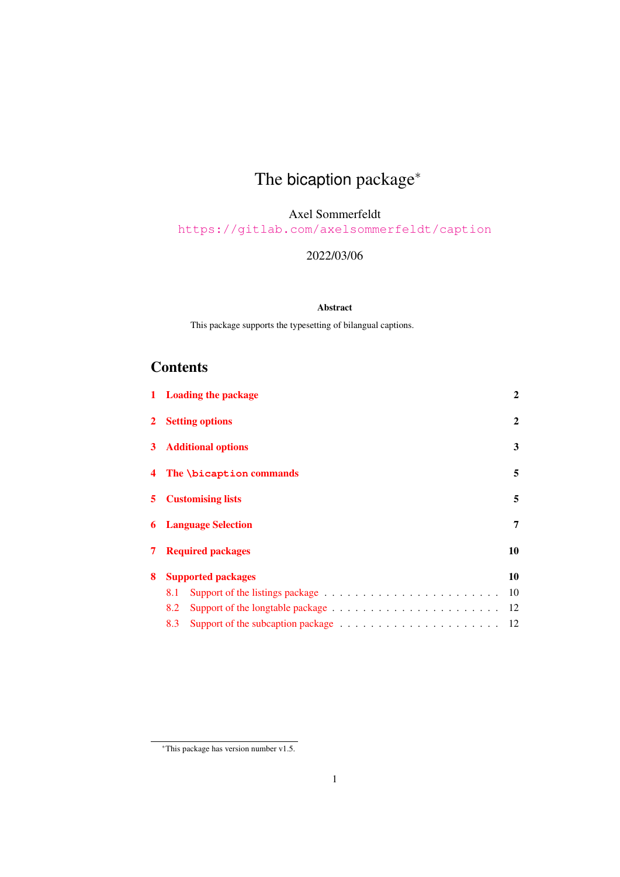# The bicaption package<sup>\*</sup>

Axel Sommerfeldt

<https://gitlab.com/axelsommerfeldt/caption>

#### 2022/03/06

#### Abstract

This package supports the typesetting of bilangual captions.

# **Contents**

|                | 1 Loading the package                                                                                 | $\mathbf{2}$ |  |  |  |
|----------------|-------------------------------------------------------------------------------------------------------|--------------|--|--|--|
|                | 2 Setting options                                                                                     | $\mathbf{2}$ |  |  |  |
| 3 <sup>1</sup> | <b>Additional options</b>                                                                             | 3            |  |  |  |
|                | 4 The \bicaption commands                                                                             |              |  |  |  |
| 5.             | <b>Customising lists</b>                                                                              |              |  |  |  |
|                | <b>6</b> Language Selection                                                                           |              |  |  |  |
| 7.             | <b>Required packages</b><br>10                                                                        |              |  |  |  |
| 8              | <b>Supported packages</b>                                                                             | 10           |  |  |  |
|                | 8.1                                                                                                   | 10           |  |  |  |
|                | Support of the longtable package $\dots \dots \dots \dots \dots \dots \dots \dots$<br>8.2             | 12           |  |  |  |
|                | Support of the subcaption package $\ldots \ldots \ldots \ldots \ldots \ldots \ldots \ldots 12$<br>8.3 |              |  |  |  |

<sup>∗</sup>This package has version number v1.5.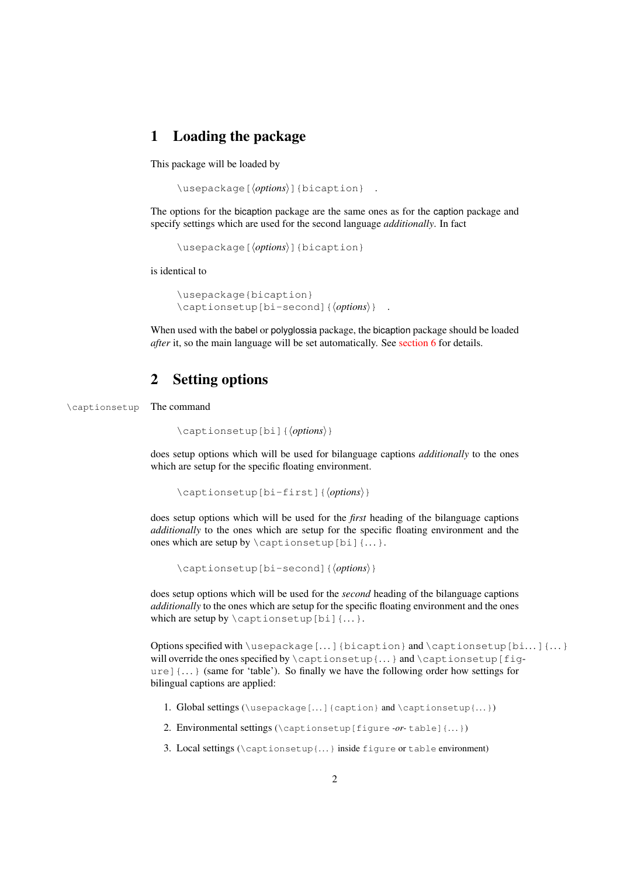# <span id="page-1-0"></span>1 Loading the package

This package will be loaded by

\usepackage[⟨*options*⟩]{bicaption} .

The options for the bicaption package are the same ones as for the caption package and specify settings which are used for the second language *additionally*. In fact

\usepackage[⟨*options*⟩]{bicaption}

is identical to

\usepackage{bicaption} \captionsetup[bi-second]{⟨*options*⟩} .

When used with the babel or polyglossia package, the bicaption package should be loaded *after* it, so the main language will be set automatically. See [section 6](#page-6-0) for details.

### <span id="page-1-1"></span>2 Setting options

\captionsetup The command

```
\captionsetup[bi]{⟨options⟩}
```
does setup options which will be used for bilanguage captions *additionally* to the ones which are setup for the specific floating environment.

```
\captionsetup[bi-first]{⟨options⟩}
```
does setup options which will be used for the *first* heading of the bilanguage captions *additionally* to the ones which are setup for the specific floating environment and the ones which are setup by  $\cap$  setup [bi]  $\{ \dots \}$ .

\captionsetup[bi-second]{⟨*options*⟩}

does setup options which will be used for the *second* heading of the bilanguage captions *additionally* to the ones which are setup for the specific floating environment and the ones which are setup by  $\cap$   $\emptyset$   $\emptyset$   $\emptyset$   $\emptyset$   $\emptyset$   $\emptyset$   $\emptyset$   $\emptyset$   $\emptyset$   $\emptyset$   $\emptyset$   $\emptyset$   $\emptyset$   $\emptyset$   $\emptyset$   $\emptyset$   $\emptyset$   $\emptyset$   $\emptyset$   $\emptyset$   $\emptyset$   $\emptyset$   $\emptyset$   $\emptyset$   $\emptyset$   $\emptyset$   $\emptyset$   $\emptyset$   $\emptyset$   $\emptyset$   $\emptyset$   $\emptyset$   $\emptyset$ 

Options specified with \usepackage[...] {bicaption} and \captionsetup[bi...] {...} will override the ones specified by \captionsetup{...} and \captionsetup[fig $u = \{ \ldots \}$  (same for 'table'). So finally we have the following order how settings for bilingual captions are applied:

- 1. Global settings (\usepackage[. . . ]{caption} and \captionsetup{. . .})
- 2. Environmental settings (\captionsetup[figure *-or-* table]{. . . })
- 3. Local settings ( $\text{count}$ ,  $\}$  inside figure or table environment)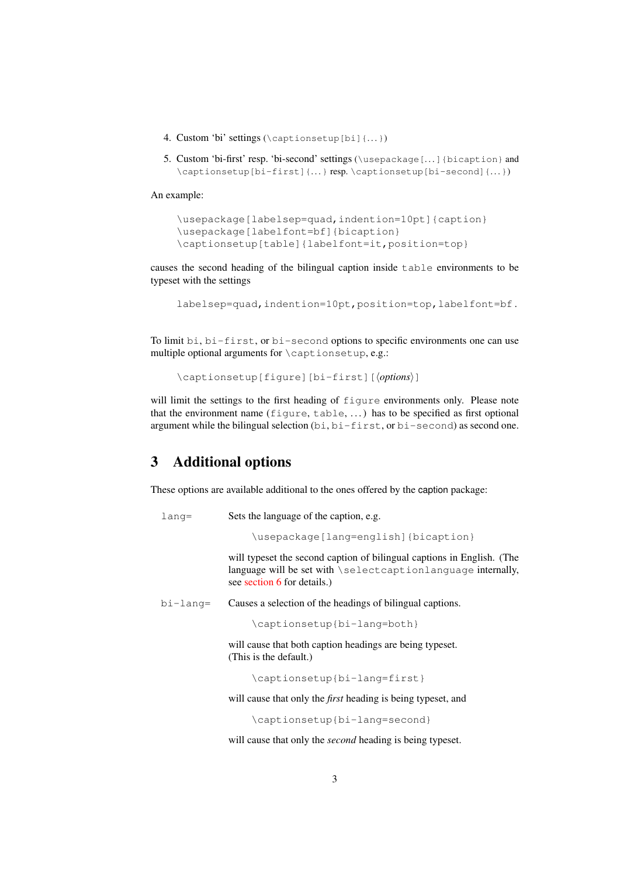- 4. Custom 'bi' settings  $(\emptyset)$  ( $\in$   $[$ bi] $\{...$  $\})$
- 5. Custom 'bi-first' resp. 'bi-second' settings (\usepackage[. . .]{bicaption} and \captionsetup[bi-first]{. . .} resp. \captionsetup[bi-second]{. . . })

An example:

```
\usepackage[labelsep=quad,indention=10pt]{caption}
\usepackage[labelfont=bf]{bicaption}
\captionsetup[table]{labelfont=it,position=top}
```
causes the second heading of the bilingual caption inside table environments to be typeset with the settings

```
labelsep=quad,indention=10pt,position=top,labelfont=bf .
```
To limit bi, bi-first, or bi-second options to specific environments one can use multiple optional arguments for \captionsetup, e.g.:

```
\captionsetup[figure][bi-first][⟨options⟩]
```
will limit the settings to the first heading of figure environments only. Please note that the environment name  $(fiqure, table, ...)$  has to be specified as first optional argument while the bilingual selection (bi, bi-first, or bi-second) as second one.

# <span id="page-2-0"></span>3 Additional options

These options are available additional to the ones offered by the caption package:

```
lang= Sets the language of the caption, e.g.
```
\usepackage[lang=english]{bicaption}

will typeset the second caption of bilingual captions in English. (The language will be set with \selectcaptionlanguage internally, see [section 6](#page-6-0) for details.)

bi-lang= Causes a selection of the headings of bilingual captions.

\captionsetup{bi-lang=both}

will cause that both caption headings are being typeset. (This is the default.)

\captionsetup{bi-lang=first}

will cause that only the *first* heading is being typeset, and

\captionsetup{bi-lang=second}

will cause that only the *second* heading is being typeset.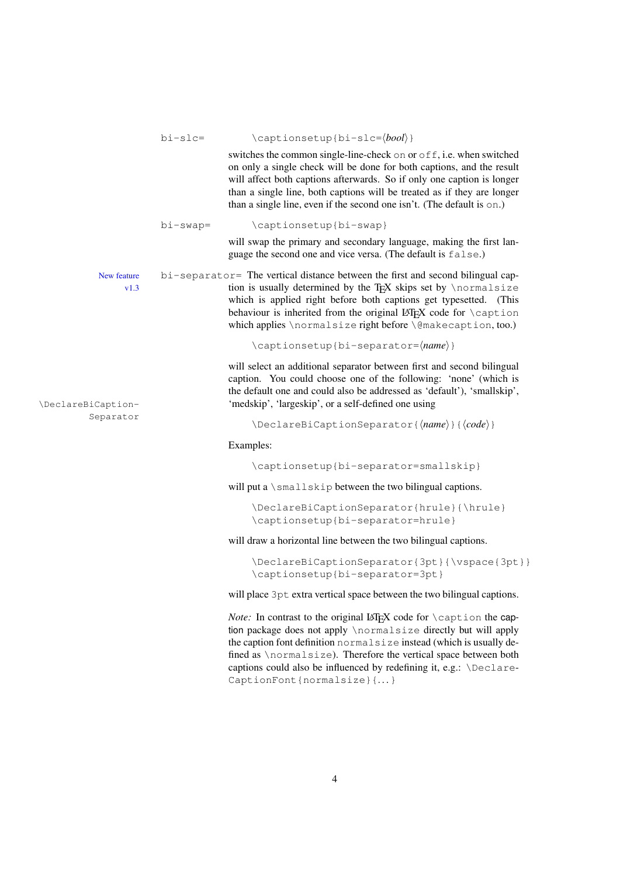|                     | $b$ i-slc=  | \captionsetup{bi-slc=\bool\}                                                                                                                                                                                                                                                                                                                                                |
|---------------------|-------------|-----------------------------------------------------------------------------------------------------------------------------------------------------------------------------------------------------------------------------------------------------------------------------------------------------------------------------------------------------------------------------|
|                     |             | switches the common single-line-check on or off, i.e. when switched<br>on only a single check will be done for both captions, and the result<br>will affect both captions afterwards. So if only one caption is longer<br>than a single line, both captions will be treated as if they are longer<br>than a single line, even if the second one isn't. (The default is on.) |
|                     | $bi$ -swap= | \captionsetup{bi-swap}                                                                                                                                                                                                                                                                                                                                                      |
|                     |             | will swap the primary and secondary language, making the first lan-<br>guage the second one and vice versa. (The default is false.)                                                                                                                                                                                                                                         |
| New feature<br>v1.3 |             | bi-separator= The vertical distance between the first and second bilingual cap-<br>tion is usually determined by the T <sub>F</sub> X skips set by \normalsize<br>which is applied right before both captions get typesetted. (This<br>behaviour is inherited from the original LATEX code for \caption<br>which applies \normalsize right before \@makecaption, too.)      |
|                     |             | \captionsetup{bi-separator= $\langle name \rangle$ }                                                                                                                                                                                                                                                                                                                        |
| \DeclareBiCaption-  |             | will select an additional separator between first and second bilingual<br>caption. You could choose one of the following: 'none' (which is<br>the default one and could also be addressed as 'default'), 'smallskip',<br>'medskip', 'largeskip', or a self-defined one using                                                                                                |
| Separator           |             | $\Delta$ PeclareBiCaptionSeparator{ $\langle name \rangle$ }{ $\langle code \rangle$ }                                                                                                                                                                                                                                                                                      |
|                     |             | Examples:                                                                                                                                                                                                                                                                                                                                                                   |
|                     |             | \captionsetup{bi-separator=smallskip}                                                                                                                                                                                                                                                                                                                                       |
|                     |             | will put a \smallskip between the two bilingual captions.                                                                                                                                                                                                                                                                                                                   |
|                     |             | \DeclareBiCaptionSeparator{hrule}{\hrule}<br>\captionsetup{bi-separator=hrule}                                                                                                                                                                                                                                                                                              |
|                     |             | will draw a horizontal line between the two bilingual captions.                                                                                                                                                                                                                                                                                                             |
|                     |             | \DeclareBiCaptionSeparator{3pt}{\vspace{3pt}}<br>\captionsetup{bi-separator=3pt}                                                                                                                                                                                                                                                                                            |
|                     |             | will place 3pt extra vertical space between the two bilingual captions.                                                                                                                                                                                                                                                                                                     |
|                     |             | Note: In contrast to the original LATEX code for \caption the cap-<br>tion package does not apply \normalsize directly but will apply<br>the caption font definition normalsize instead (which is usually de-<br>fined as \normalsize). Therefore the vertical space between both<br>captions could also be influenced by redefining it, e.g.: \Declare-                    |

CaptionFont{normalsize}{...}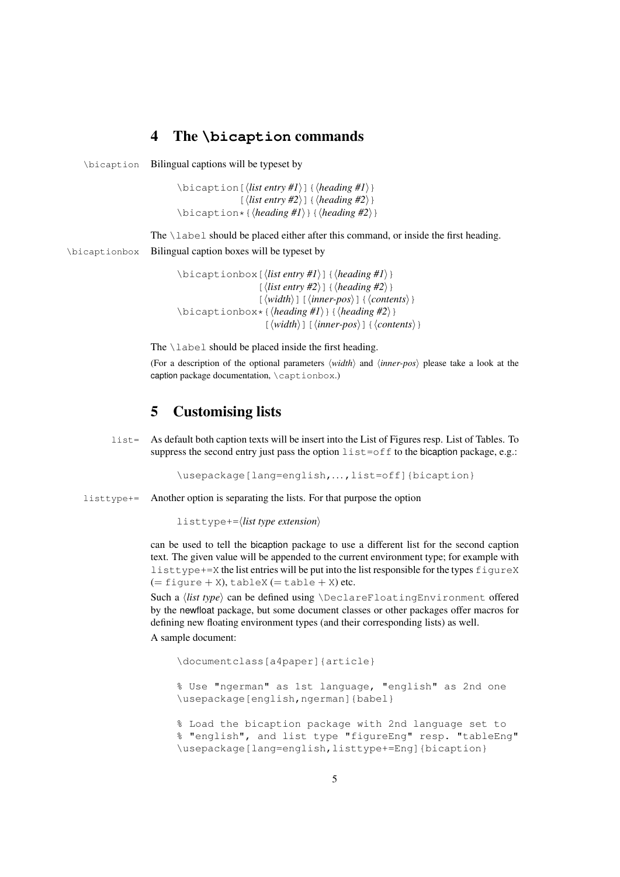# <span id="page-4-0"></span>4 The **\bicaption** commands

\bicaption Bilingual captions will be typeset by

\bicaption[⟨*list entry #1*⟩]{⟨*heading #1*⟩} [⟨*list entry #2*⟩]{⟨*heading #2*⟩} \bicaption\*{⟨*heading #1*⟩}{⟨*heading #2*⟩}

The \label should be placed either after this command, or inside the first heading. \bicaptionbox Bilingual caption boxes will be typeset by

> \bicaptionbox[⟨*list entry #1*⟩]{⟨*heading #1*⟩}  $\{\langle list\ entry\ \#2 \rangle\} \{\langle heading\ \#2 \rangle\}$ [⟨*width*⟩][⟨*inner-pos*⟩]{⟨*contents*⟩} \bicaptionbox\*{⟨*heading #1*⟩}{⟨*heading #2*⟩} [⟨*width*⟩][⟨*inner-pos*⟩]{⟨*contents*⟩}

The  $\lambda$ label should be placed inside the first heading.

(For a description of the optional parameters ⟨*width*⟩ and ⟨*inner-pos*⟩ please take a look at the caption package documentation, \captionbox.)

# <span id="page-4-1"></span>5 Customising lists

list= As default both caption texts will be insert into the List of Figures resp. List of Tables. To suppress the second entry just pass the option  $list=off$  to the bicaption package, e.g.:

\usepackage[lang=english,...,list=off]{bicaption}

listtype+= Another option is separating the lists. For that purpose the option

listtype+=⟨*list type extension*⟩

can be used to tell the bicaption package to use a different list for the second caption text. The given value will be appended to the current environment type; for example with listtype+=X the list entries will be put into the list responsible for the types figureX  $(= \text{figure} + X), \text{tableX} (= \text{table} + X)$ etc.

Such a *(list type)* can be defined using \DeclareFloatingEnvironment offered by the newfloat package, but some document classes or other packages offer macros for defining new floating environment types (and their corresponding lists) as well.

A sample document:

\documentclass[a4paper]{article}

% Use "ngerman" as 1st language, "english" as 2nd one \usepackage[english,ngerman]{babel}

% Load the bicaption package with 2nd language set to % "english", and list type "figureEng" resp. "tableEng" \usepackage[lang=english,listtype+=Eng]{bicaption}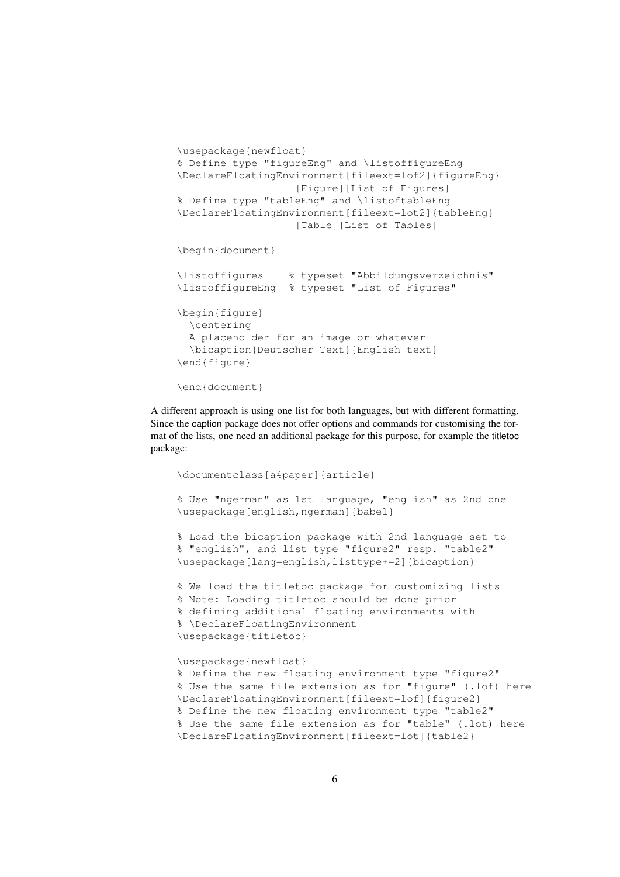```
\usepackage{newfloat}
% Define type "figureEng" and \listoffigureEng
\DeclareFloatingEnvironment[fileext=lof2]{figureEng}
                   [Figure][List of Figures]
% Define type "tableEng" and \listoftableEng
\DeclareFloatingEnvironment[fileext=lot2]{tableEng}
                   [Table][List of Tables]
\begin{document}
\listoffigures % typeset "Abbildungsverzeichnis"
\listoffigureEng % typeset "List of Figures"
\begin{figure}
  \centering
  A placeholder for an image or whatever
  \bicaption{Deutscher Text}{English text}
\end{figure}
\end{document}
```
A different approach is using one list for both languages, but with different formatting. Since the caption package does not offer options and commands for customising the format of the lists, one need an additional package for this purpose, for example the titletoc package:

```
\documentclass[a4paper]{article}
% Use "ngerman" as 1st language, "english" as 2nd one
\usepackage[english,ngerman]{babel}
% Load the bicaption package with 2nd language set to
% "english", and list type "figure2" resp. "table2"
\usepackage[lang=english,listtype+=2]{bicaption}
% We load the titletoc package for customizing lists
% Note: Loading titletoc should be done prior
% defining additional floating environments with
% \DeclareFloatingEnvironment
\usepackage{titletoc}
\usepackage{newfloat}
% Define the new floating environment type "figure2"
% Use the same file extension as for "figure" (.lof) here
\DeclareFloatingEnvironment[fileext=lof]{figure2}
% Define the new floating environment type "table2"
% Use the same file extension as for "table" (.lot) here
\DeclareFloatingEnvironment[fileext=lot]{table2}
```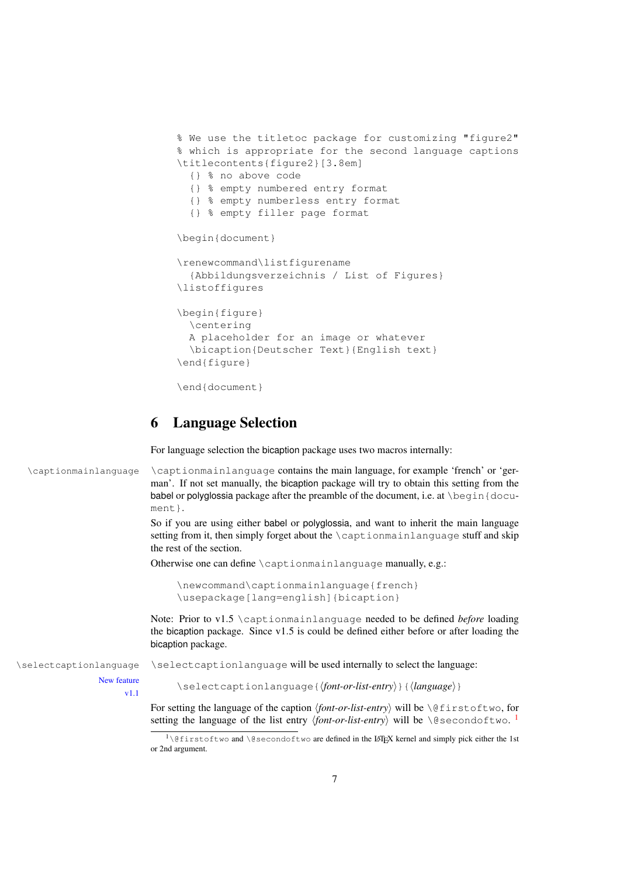```
% We use the titletoc package for customizing "figure2"
% which is appropriate for the second language captions
\titlecontents{figure2}[3.8em]
  {} % no above code
  {} % empty numbered entry format
  {} % empty numberless entry format
  {} % empty filler page format
\begin{document}
\renewcommand\listfigurename
  {Abbildungsverzeichnis / List of Figures}
\listoffigures
\begin{figure}
  \centering
  A placeholder for an image or whatever
  \bicaption{Deutscher Text}{English text}
\end{figure}
\end{document}
```
### <span id="page-6-0"></span>6 Language Selection

For language selection the bicaption package uses two macros internally:

```
\captionmainlanguage \captionmainlanguage contains the main language, for example 'french' or 'ger-
                              man'. If not set manually, the bicaption package will try to obtain this setting from the
                              babel or polyglossia package after the preamble of the document, i.e. at \begin{bmatrix} \text{docu-} \end{bmatrix}
```
ment.}. So if you are using either babel or polyglossia, and want to inherit the main language setting from it, then simply forget about the \captionmainlanguage stuff and skip the rest of the section.

Otherwise one can define \captionmainlanguage manually, e.g.:

```
\newcommand\captionmainlanguage{french}
\usepackage[lang=english]{bicaption}
```
Note: Prior to v1.5 \captionmainlanguage needed to be defined *before* loading the bicaption package. Since v1.5 is could be defined either before or after loading the bicaption package.

\selectcaptionlanguage \selectcaptionlanguage will be used internally to select the language:

New feature v1.1

\selectcaptionlanguage{⟨*font-or-list-entry*⟩}{⟨*language*⟩}

For setting the language of the caption ⟨*font-or-list-entry*⟩ will be \@firstoftwo, for setting the language of the list entry *\font-or-list-entry*} will be \@secondoftwo. <sup>[1](#page-6-1)</sup>

<span id="page-6-1"></span><sup>&</sup>lt;sup>1</sup> $\left($  efirstoftwo and  $\text{e}$  secondoftwo are defined in the LAT<sub>E</sub>X kernel and simply pick either the 1st or 2nd argument.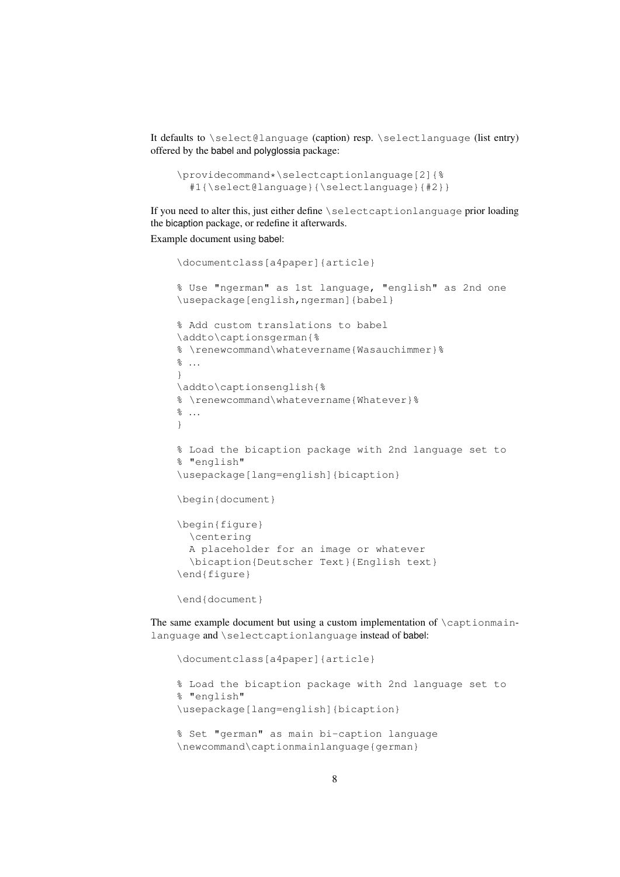It defaults to \select@language (caption) resp. \selectlanguage (list entry) offered by the babel and polyglossia package:

```
\providecommand*\selectcaptionlanguage[2]{%
  #1{\select@language}{\selectlanguage}{#2}}
```
If you need to alter this, just either define \selectcaptionlanguage prior loading the bicaption package, or redefine it afterwards.

Example document using babel:

```
\documentclass[a4paper]{article}
% Use "ngerman" as 1st language, "english" as 2nd one
\usepackage[english,ngerman]{babel}
% Add custom translations to babel
\addto\captionsgerman{%
% \renewcommand\whatevername{Wasauchimmer}%
\frac{6}{6} ...
}
\addto\captionsenglish{%
% \renewcommand\whatevername{Whatever}%
\frac{8}{6} ...
}
% Load the bicaption package with 2nd language set to
% "english"
\usepackage[lang=english]{bicaption}
\begin{document}
\begin{figure}
  \centering
  A placeholder for an image or whatever
  \bicaption{Deutscher Text}{English text}
\end{figure}
\end{document}
```
The same example document but using a custom implementation of  $\cap$  influences of  $\cap$ language and \selectcaptionlanguage instead of babel:

```
\documentclass[a4paper]{article}
% Load the bicaption package with 2nd language set to
% "english"
\usepackage[lang=english]{bicaption}
% Set "german" as main bi-caption language
\newcommand\captionmainlanguage{german}
```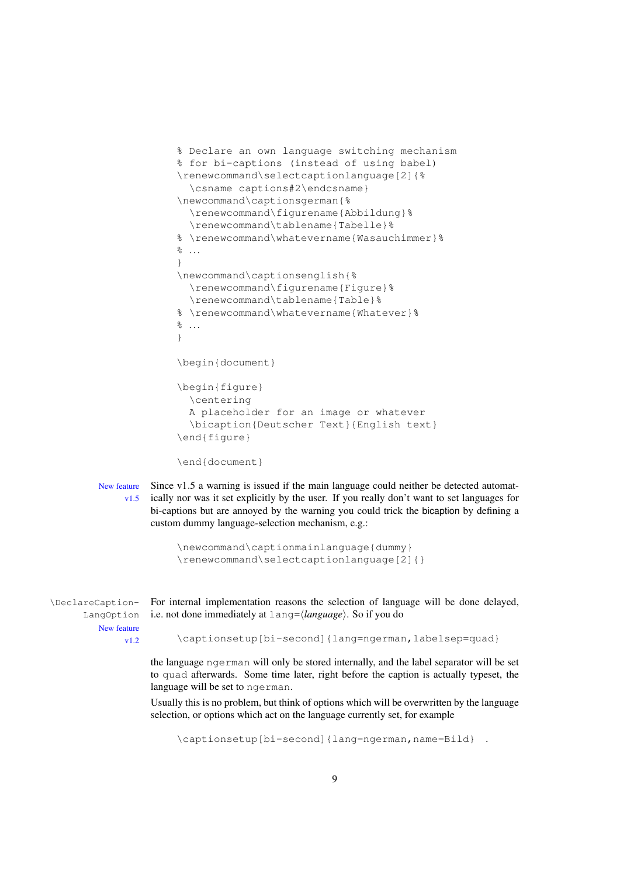```
% Declare an own language switching mechanism
% for bi-captions (instead of using babel)
\renewcommand\selectcaptionlanguage[2]{%
  \csname captions#2\endcsname}
\newcommand\captionsgerman{%
  \renewcommand\figurename{Abbildung}%
  \renewcommand\tablename{Tabelle}%
% \renewcommand\whatevername{Wasauchimmer}%
\frac{6}{6} ...
}
\newcommand\captionsenglish{%
  \renewcommand\figurename{Figure}%
  \renewcommand\tablename{Table}%
% \renewcommand\whatevername{Whatever}%
\frac{8}{6} ...
}
\begin{document}
\begin{figure}
  \centering
  A placeholder for an image or whatever
  \bicaption{Deutscher Text}{English text}
\end{figure}
\end{document}
```
New feature Since v1.5 a warning is issued if the main language could neither be detected automatv1.5 ically nor was it set explicitly by the user. If you really don't want to set languages for bi-captions but are annoyed by the warning you could trick the bicaption by defining a custom dummy language-selection mechanism, e.g.:

```
\newcommand\captionmainlanguage{dummy}
\renewcommand\selectcaptionlanguage[2]{}
```
\DeclareCaption- For internal implementation reasons the selection of language will be done delayed, LangOption New feature v1.2 i.e. not done immediately at lang=⟨*language*⟩. So if you do

\captionsetup[bi-second]{lang=ngerman,labelsep=quad}

the language ngerman will only be stored internally, and the label separator will be set to quad afterwards. Some time later, right before the caption is actually typeset, the language will be set to ngerman.

Usually this is no problem, but think of options which will be overwritten by the language selection, or options which act on the language currently set, for example

\captionsetup[bi-second]{lang=ngerman,name=Bild} .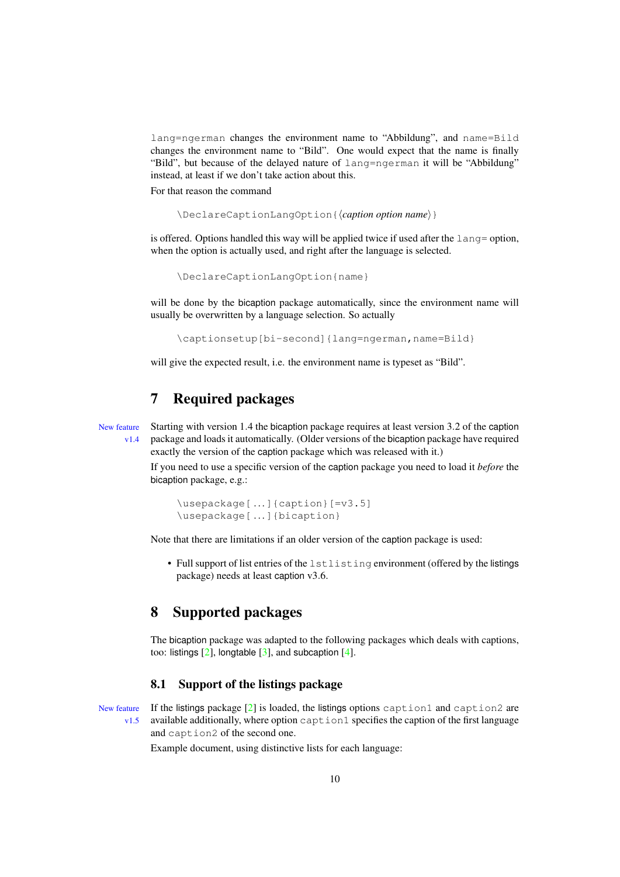lang=ngerman changes the environment name to "Abbildung", and name=Bild changes the environment name to "Bild". One would expect that the name is finally "Bild", but because of the delayed nature of lang=ngerman it will be "Abbildung" instead, at least if we don't take action about this.

For that reason the command

\DeclareCaptionLangOption{⟨*caption option name*⟩}

is offered. Options handled this way will be applied twice if used after the lang= option, when the option is actually used, and right after the language is selected.

\DeclareCaptionLangOption{name}

will be done by the bicaption package automatically, since the environment name will usually be overwritten by a language selection. So actually

\captionsetup[bi-second]{lang=ngerman,name=Bild}

will give the expected result, i.e. the environment name is typeset as "Bild".

# <span id="page-9-0"></span>7 Required packages

New feature Starting with version 1.4 the bicaption package requires at least version 3.2 of the caption v1.4 package and loads it automatically. (Older versions of the bicaption package have required exactly the version of the caption package which was released with it.)

> If you need to use a specific version of the caption package you need to load it *before* the bicaption package, e.g.:

```
\usepackage[ . . .]{caption}[=v3.5]
\usepackage[ . . .]{bicaption}
```
Note that there are limitations if an older version of the caption package is used:

• Full support of list entries of the lstlisting environment (offered by the listings package) needs at least caption v3.6.

### <span id="page-9-1"></span>8 Supported packages

The bicaption package was adapted to the following packages which deals with captions, too: listings  $[2]$ , longtable  $[3]$ , and subcaption  $[4]$ .

#### <span id="page-9-2"></span>8.1 Support of the listings package

New feature If the listings package  $[2]$  is loaded, the listings options caption1 and caption2 are  $v1.5$  available additionally, where option caption1 specifies the caption of the first language and caption2 of the second one.

Example document, using distinctive lists for each language: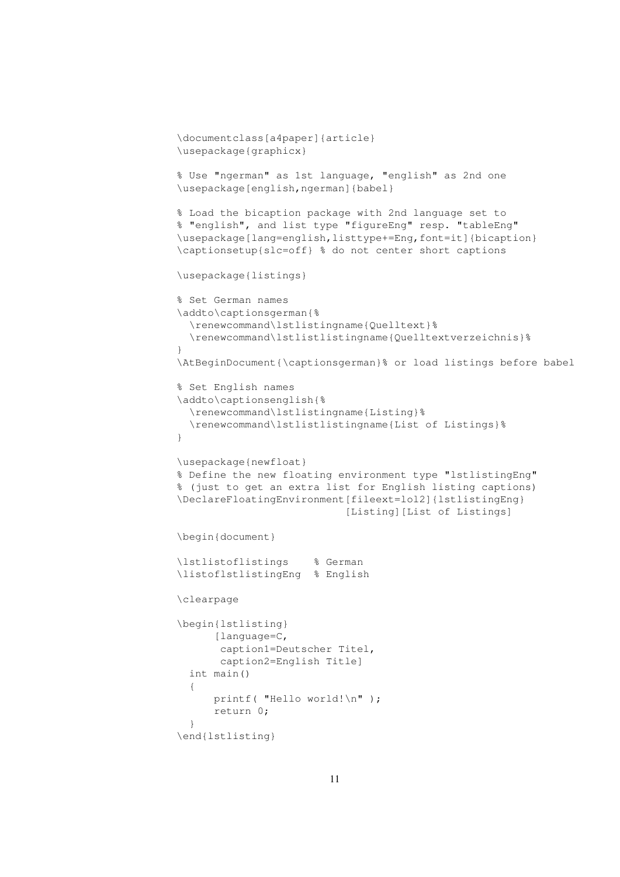```
\documentclass[a4paper]{article}
\usepackage{graphicx}
% Use "ngerman" as 1st language, "english" as 2nd one
\usepackage[english,ngerman]{babel}
% Load the bicaption package with 2nd language set to
% "english", and list type "figureEng" resp. "tableEng"
\usepackage[lang=english,listtype+=Eng,font=it]{bicaption}
\captionsetup{slc=off} % do not center short captions
\usepackage{listings}
% Set German names
\addto\captionsgerman{%
  \renewcommand\lstlistingname{Quelltext}%
  \renewcommand\lstlistlistingname{Quelltextverzeichnis}%
}
\AtBeginDocument{\captionsgerman}% or load listings before babel
% Set English names
\addto\captionsenglish{%
  \renewcommand\lstlistingname{Listing}%
  \renewcommand\lstlistlistingname{List of Listings}%
}
\usepackage{newfloat}
% Define the new floating environment type "lstlistingEng"
% (just to get an extra list for English listing captions)
\DeclareFloatingEnvironment[fileext=lol2]{lstlistingEng}
                           [Listing][List of Listings]
\begin{document}
\lstlistoflistings % German
\listoflstlistingEng % English
\clearpage
\begin{lstlisting}
      [language=C,
       caption1=Deutscher Titel,
       caption2=English Title]
  int main()
  {
      printf( "Hello world!\n" );
      return 0;
  }
\end{lstlisting}
```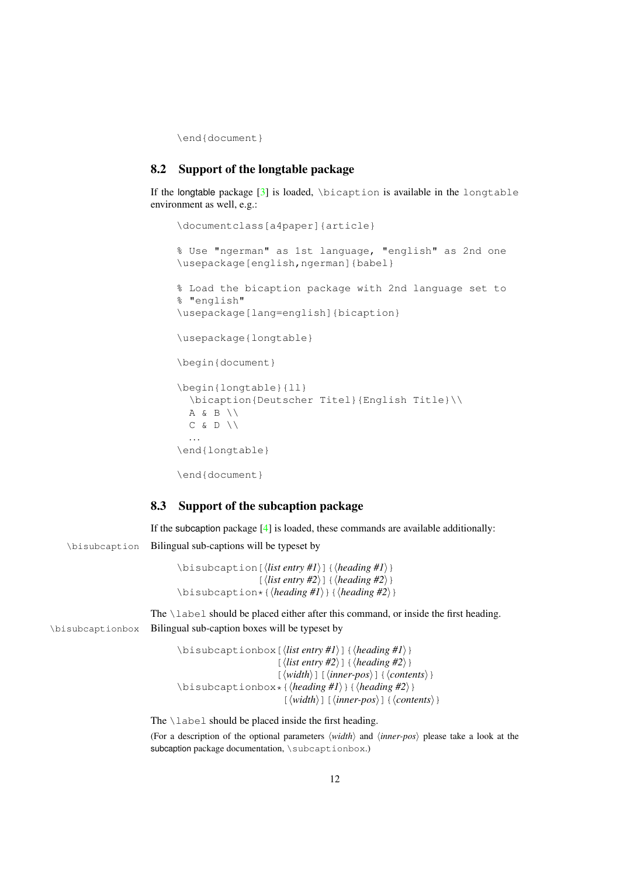\end{document}

#### <span id="page-11-0"></span>8.2 Support of the longtable package

If the longtable package  $[3]$  is loaded, \bicaption is available in the longtable environment as well, e.g.:

```
\documentclass[a4paper]{article}
% Use "ngerman" as 1st language, "english" as 2nd one
\usepackage[english,ngerman]{babel}
% Load the bicaption package with 2nd language set to
% "english"
\usepackage[lang=english]{bicaption}
\usepackage{longtable}
\begin{document}
\begin{longtable}{ll}
  \bicaption{Deutscher Titel}{English Title}\\
  A \& B \ \setminus \ \setC \& D \setminus \setminus. . .
\end{longtable}
\end{document}
```
#### <span id="page-11-1"></span>8.3 Support of the subcaption package

If the subcaption package  $[4]$  is loaded, these commands are available additionally:

\bisubcaption Bilingual sub-captions will be typeset by

```
\bisubcaption[⟨list entry #1⟩]{⟨heading #1⟩}
                 [⟨list entry #2⟩]{⟨heading #2⟩}
\bisubcaption*{⟨heading #1⟩}{⟨heading #2⟩}
```
The \label should be placed either after this command, or inside the first heading. \bisubcaptionbox Bilingual sub-caption boxes will be typeset by

```
\bisubcaptionbox[⟨list entry #1⟩]{⟨heading #1⟩}
                     [⟨list entry #2⟩]{⟨heading #2⟩}
                     [⟨width⟩][⟨inner-pos⟩]{⟨contents⟩}
\bisubcaptionbox*{⟨heading #1⟩}{⟨heading #2⟩}
                      [⟨width⟩][⟨inner-pos⟩]{⟨contents⟩}
```
The \label should be placed inside the first heading.

(For a description of the optional parameters ⟨*width*⟩ and ⟨*inner-pos*⟩ please take a look at the subcaption package documentation, \subcaptionbox.)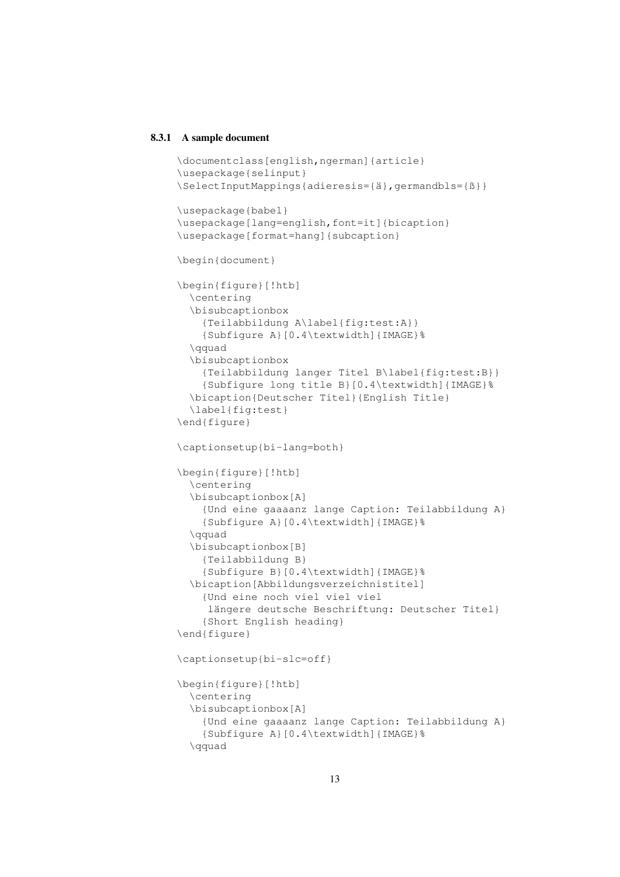#### 8.3.1 A sample document

```
\documentclass[english,ngerman]{article}
\usepackage{selinput}
\SelectInputMappings{adieresis={ä},germandbls={ß}}
\usepackage{babel}
\usepackage[lang=english, font=it] {bicaption}
\usepackage[format=hang]{subcaption}
\begin{document}
\begin{figure}[!htb]
  \centering
  \bisubcaptionbox
    {Teilabbildung A\label{fig:test:A}}
    {Subfigure A}[0.4\textwidth]{IMAGE}%
  \qquad
  \bisubcaptionbox
    {Teilabbildung langer Titel B\label{fig:test:B}}
    {Subfigure long title B}[0.4\textwidth]{IMAGE}%
  \bicaption{Deutscher Titel}{English Title}
  \label{fig:test}
\end{figure}
\captionsetup{bi-lang=both}
\begin{figure}[!htb]
  \centering
  \bisubcaptionbox[A]
    {Und eine gaaaanz lange Caption: Teilabbildung A}
    {Subfigure A}[0.4\textwidth]{IMAGE}%
  \qquad
  \bisubcaptionbox[B]
    {Teilabbildung B}
    {Subfigure B}[0.4\textwidth]{IMAGE}%
  \bicaption[Abbildungsverzeichnistitel]
    {Und eine noch viel viel viel
     längere deutsche Beschriftung: Deutscher Titel}
    {Short English heading}
\end{figure}
\captionsetup{bi-slc=off}
\begin{figure}[!htb]
  \centering
  \bisubcaptionbox[A]
    {Und eine gaaaanz lange Caption: Teilabbildung A}
    {Subfigure A}[0.4\textwidth]{IMAGE}%
  \qquad
```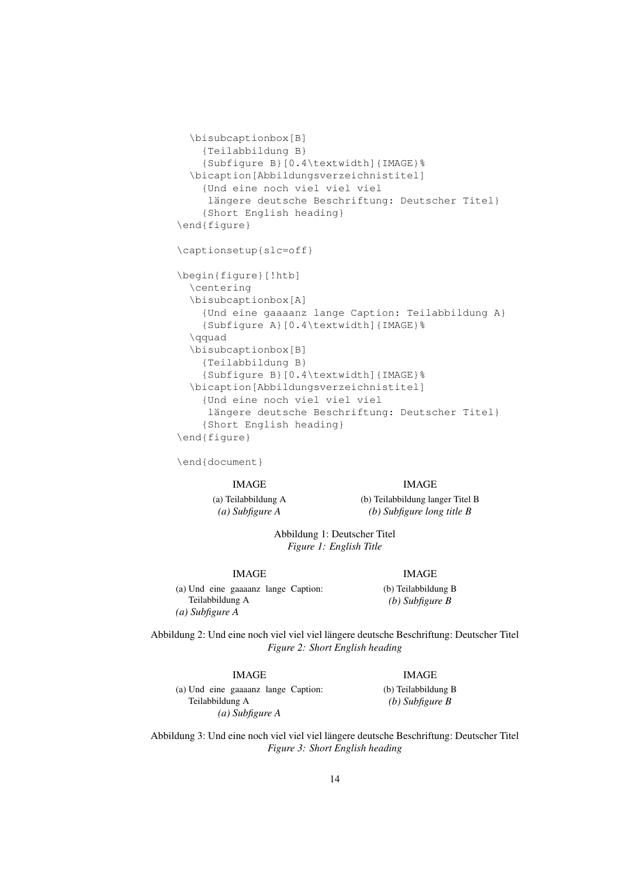```
\bisubcaptionbox[B]
    {Teilabbildung B}
    {Subfigure B}[0.4\textwidth]{IMAGE}%
  \bicaption[Abbildungsverzeichnistitel]
    {Und eine noch viel viel viel
     längere deutsche Beschriftung: Deutscher Titel}
    {Short English heading}
\end{figure}
\captionsetup{slc=off}
\begin{figure}[!htb]
  \centering
  \bisubcaptionbox[A]
    {Und eine gaaaanz lange Caption: Teilabbildung A}
    {Subfigure A}[0.4\textwidth]{IMAGE}%
  \qquad
  \bisubcaptionbox[B]
    {Teilabbildung B}
    {Subfigure B}[0.4\textwidth]{IMAGE}%
  \bicaption[Abbildungsverzeichnistitel]
    {Und eine noch viel viel viel
     längere deutsche Beschriftung: Deutscher Titel}
    {Short English heading}
\end{figure}
```
\end{document}

#### IMAGE

(a) Teilabbildung A *(a) Subfigure A*

IMAGE (b) Teilabbildung langer Titel B *(b) Subfigure long title B*

Abbildung 1: Deutscher Titel *Figure 1: English Title*

#### IMAGE

(a) Und eine gaaaanz lange Caption: Teilabbildung A *(a) Subfigure A*

IMAGE

(b) Teilabbildung B *(b) Subfigure B*

Abbildung 2: Und eine noch viel viel viel längere deutsche Beschriftung: Deutscher Titel *Figure 2: Short English heading*

#### IMAGE

*(a) Subfigure A*

Teilabbildung A

(a) Und eine gaaaanz lange Caption:

IMAGE (b) Teilabbildung B *(b) Subfigure B*

Abbildung 3: Und eine noch viel viel viel längere deutsche Beschriftung: Deutscher Titel *Figure 3: Short English heading*